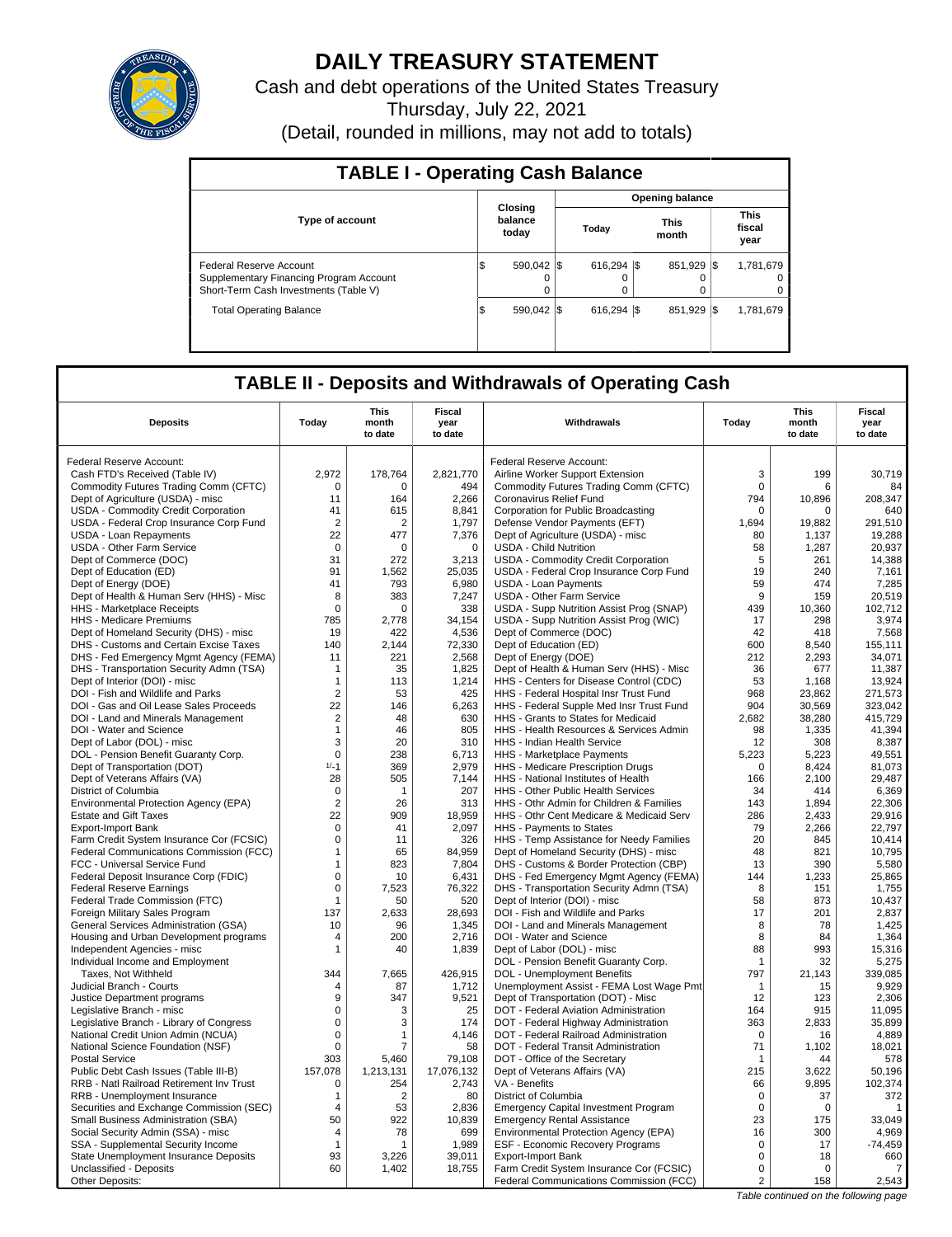

# **DAILY TREASURY STATEMENT**

Cash and debt operations of the United States Treasury Thursday, July 22, 2021

(Detail, rounded in millions, may not add to totals)

| <b>TABLE I - Operating Cash Balance</b>                                                                     |                             |          |                        |  |                      |      |                               |  |  |  |  |
|-------------------------------------------------------------------------------------------------------------|-----------------------------|----------|------------------------|--|----------------------|------|-------------------------------|--|--|--|--|
|                                                                                                             |                             |          | <b>Opening balance</b> |  |                      |      |                               |  |  |  |  |
| <b>Type of account</b>                                                                                      | Closing<br>balance<br>today |          | Today                  |  | <b>This</b><br>month |      | <b>This</b><br>fiscal<br>year |  |  |  |  |
| Federal Reserve Account<br>Supplementary Financing Program Account<br>Short-Term Cash Investments (Table V) | 590.042 \\$<br>IS           | $\Omega$ | $616.294$ S<br>0       |  | 851.929 \\$          |      | 1,781,679<br>0<br>0           |  |  |  |  |
| <b>Total Operating Balance</b>                                                                              | 590.042 \\$<br>IS           |          | $616.294$ S            |  | 851,929              | -1\$ | 1.781.679                     |  |  |  |  |

## **TABLE II - Deposits and Withdrawals of Operating Cash**

| <b>Deposits</b>                          | Today          | <b>This</b><br>month<br>to date | Fiscal<br>year<br>to date | Withdrawals                                 | Today       | <b>This</b><br>month<br>to date | Fiscal<br>year<br>to date |
|------------------------------------------|----------------|---------------------------------|---------------------------|---------------------------------------------|-------------|---------------------------------|---------------------------|
| Federal Reserve Account:                 |                |                                 |                           | Federal Reserve Account:                    |             |                                 |                           |
| Cash FTD's Received (Table IV)           | 2,972          | 178,764                         | 2,821,770                 | Airline Worker Support Extension            | 3           | 199                             | 30.719                    |
|                                          | $\Omega$       | $\Omega$                        |                           |                                             | $\Omega$    | 6                               |                           |
| Commodity Futures Trading Comm (CFTC)    |                |                                 | 494                       | Commodity Futures Trading Comm (CFTC)       |             |                                 | 84                        |
| Dept of Agriculture (USDA) - misc        | 11             | 164                             | 2,266                     | Coronavirus Relief Fund                     | 794         | 10,896                          | 208,347                   |
| USDA - Commodity Credit Corporation      | 41             | 615                             | 8.841                     | Corporation for Public Broadcasting         | $\Omega$    | $\Omega$                        | 640                       |
| USDA - Federal Crop Insurance Corp Fund  | $\overline{2}$ | 2                               | 1,797                     | Defense Vendor Payments (EFT)               | 1,694       | 19,882                          | 291,510                   |
| <b>USDA - Loan Repayments</b>            | 22             | 477                             | 7,376                     | Dept of Agriculture (USDA) - misc           | 80          | 1.137                           | 19,288                    |
| <b>USDA - Other Farm Service</b>         | $\mathbf 0$    | 0                               | $\mathbf 0$               | <b>USDA - Child Nutrition</b>               | 58          | 1,287                           | 20,937                    |
| Dept of Commerce (DOC)                   | 31             | 272                             | 3,213                     | USDA - Commodity Credit Corporation         | 5           | 261                             | 14.388                    |
| Dept of Education (ED)                   | 91             | 1,562                           | 25,035                    | USDA - Federal Crop Insurance Corp Fund     | 19          | 240                             | 7,161                     |
| Dept of Energy (DOE)                     | 41             | 793                             | 6,980                     | <b>USDA - Loan Payments</b>                 | 59          | 474                             | 7,285                     |
| Dept of Health & Human Serv (HHS) - Misc | 8              | 383                             | 7,247                     | <b>USDA - Other Farm Service</b>            | 9           | 159                             | 20,519                    |
| HHS - Marketplace Receipts               | $\mathbf 0$    | 0                               | 338                       | USDA - Supp Nutrition Assist Prog (SNAP)    | 439         | 10,360                          | 102,712                   |
| HHS - Medicare Premiums                  | 785            | 2,778                           | 34,154                    | USDA - Supp Nutrition Assist Prog (WIC)     | 17          | 298                             | 3,974                     |
| Dept of Homeland Security (DHS) - misc   | 19             | 422                             | 4,536                     | Dept of Commerce (DOC)                      | 42          | 418                             | 7,568                     |
| DHS - Customs and Certain Excise Taxes   | 140            | 2.144                           | 72,330                    | Dept of Education (ED)                      | 600         | 8,540                           | 155,111                   |
| DHS - Fed Emergency Mgmt Agency (FEMA)   | 11             | 221                             | 2,568                     | Dept of Energy (DOE)                        | 212         | 2,293                           | 34.071                    |
| DHS - Transportation Security Admn (TSA) | -1             | 35                              | 1.825                     | Dept of Health & Human Serv (HHS) - Misc    | 36          | 677                             | 11.387                    |
| Dept of Interior (DOI) - misc            | $\mathbf{1}$   | 113                             | 1,214                     | HHS - Centers for Disease Control (CDC)     | 53          | 1,168                           | 13,924                    |
| DOI - Fish and Wildlife and Parks        | $\overline{2}$ | 53                              | 425                       | HHS - Federal Hospital Insr Trust Fund      | 968         | 23,862                          | 271,573                   |
| DOI - Gas and Oil Lease Sales Proceeds   | 22             | 146                             | 6,263                     | HHS - Federal Supple Med Insr Trust Fund    | 904         | 30,569                          | 323,042                   |
| DOI - Land and Minerals Management       | $\overline{2}$ | 48                              | 630                       | HHS - Grants to States for Medicaid         | 2.682       | 38.280                          | 415.729                   |
| DOI - Water and Science                  | $\mathbf{1}$   | 46                              | 805                       | HHS - Health Resources & Services Admin     | 98          | 1,335                           | 41,394                    |
| Dept of Labor (DOL) - misc               | 3              | 20                              | 310                       | <b>HHS - Indian Health Service</b>          | 12          | 308                             | 8,387                     |
| DOL - Pension Benefit Guaranty Corp.     | $\mathsf 0$    | 238                             | 6,713                     | HHS - Marketplace Payments                  | 5,223       | 5,223                           | 49,551                    |
| Dept of Transportation (DOT)             | $1/-1$         | 369                             | 2,979                     | HHS - Medicare Prescription Drugs           | $\Omega$    | 8,424                           | 81,073                    |
| Dept of Veterans Affairs (VA)            | 28             | 505                             | 7,144                     | HHS - National Institutes of Health         | 166         | 2,100                           | 29,487                    |
| District of Columbia                     | $\mathbf 0$    | $\mathbf 1$                     | 207                       | HHS - Other Public Health Services          | 34          | 414                             | 6,369                     |
| Environmental Protection Agency (EPA)    | $\overline{2}$ | 26                              | 313                       | HHS - Othr Admin for Children & Families    | 143         | 1,894                           | 22,306                    |
| <b>Estate and Gift Taxes</b>             | 22             | 909                             | 18,959                    | HHS - Othr Cent Medicare & Medicaid Serv    | 286         | 2,433                           | 29,916                    |
| <b>Export-Import Bank</b>                | $\Omega$       | 41                              | 2,097                     | HHS - Payments to States                    | 79          | 2,266                           | 22.797                    |
| Farm Credit System Insurance Cor (FCSIC) | $\mathbf 0$    | 11                              | 326                       | HHS - Temp Assistance for Needy Families    | 20          | 845                             | 10,414                    |
| Federal Communications Commission (FCC)  | $\mathbf{1}$   | 65                              | 84,959                    | Dept of Homeland Security (DHS) - misc      | 48          | 821                             | 10,795                    |
| FCC - Universal Service Fund             | $\mathbf{1}$   | 823                             | 7,804                     | DHS - Customs & Border Protection (CBP)     | 13          | 390                             | 5,580                     |
| Federal Deposit Insurance Corp (FDIC)    | $\mathbf 0$    | 10                              | 6,431                     | DHS - Fed Emergency Mgmt Agency (FEMA)      | 144         | 1,233                           | 25,865                    |
| <b>Federal Reserve Earnings</b>          | $\mathbf 0$    | 7,523                           | 76,322                    | DHS - Transportation Security Admn (TSA)    | 8           | 151                             | 1,755                     |
| Federal Trade Commission (FTC)           | -1             | 50                              | 520                       | Dept of Interior (DOI) - misc               | 58          | 873                             | 10,437                    |
| Foreign Military Sales Program           | 137            | 2,633                           | 28,693                    | DOI - Fish and Wildlife and Parks           | 17          | 201                             | 2,837                     |
| General Services Administration (GSA)    | 10             | 96                              | 1.345                     | DOI - Land and Minerals Management          | 8           | 78                              | 1.425                     |
| Housing and Urban Development programs   | 4              | 200                             | 2,716                     | DOI - Water and Science                     | 8           | 84                              | 1,364                     |
| Independent Agencies - misc              | $\mathbf{1}$   | 40                              | 1,839                     | Dept of Labor (DOL) - misc                  | 88          | 993                             | 15,316                    |
| Individual Income and Employment         |                |                                 |                           | DOL - Pension Benefit Guaranty Corp.        | -1          | 32                              | 5,275                     |
| Taxes, Not Withheld                      | 344            | 7,665                           | 426,915                   | DOL - Unemployment Benefits                 | 797         | 21,143                          | 339,085                   |
| Judicial Branch - Courts                 | $\overline{4}$ | 87                              | 1,712                     | Unemployment Assist - FEMA Lost Wage Pmt    | $\mathbf 1$ | 15                              | 9.929                     |
| Justice Department programs              | 9              | 347                             | 9,521                     | Dept of Transportation (DOT) - Misc         | 12          | 123                             | 2,306                     |
| Legislative Branch - misc                | 0              | 3                               | 25                        | DOT - Federal Aviation Administration       | 164         | 915                             | 11,095                    |
| Legislative Branch - Library of Congress | $\mathbf 0$    | 3                               | 174                       | DOT - Federal Highway Administration        | 363         | 2,833                           | 35,899                    |
| National Credit Union Admin (NCUA)       | $\Omega$       | 1                               | 4.146                     | DOT - Federal Railroad Administration       | $\Omega$    | 16                              | 4,889                     |
| National Science Foundation (NSF)        | $\mathbf 0$    | $\overline{7}$                  | 58                        | DOT - Federal Transit Administration        | 71          | 1,102                           | 18,021                    |
| <b>Postal Service</b>                    | 303            | 5.460                           | 79,108                    | DOT - Office of the Secretary               | -1          | 44                              | 578                       |
| Public Debt Cash Issues (Table III-B)    | 157,078        | 1,213,131                       | 17,076,132                | Dept of Veterans Affairs (VA)               | 215         | 3,622                           | 50,196                    |
| RRB - Natl Railroad Retirement Inv Trust | $\mathbf 0$    | 254                             | 2,743                     | VA - Benefits                               | 66          | 9,895                           | 102,374                   |
| RRB - Unemployment Insurance             | $\mathbf{1}$   | $\overline{2}$                  | 80                        | District of Columbia                        | 0           | 37                              | 372                       |
| Securities and Exchange Commission (SEC) | 4              | 53                              | 2,836                     | <b>Emergency Capital Investment Program</b> | $\mathbf 0$ | $\mathbf 0$                     |                           |
| Small Business Administration (SBA)      | 50             | 922                             | 10,839                    | <b>Emergency Rental Assistance</b>          | 23          | 175                             | 33.049                    |
| Social Security Admin (SSA) - misc       | 4              | 78                              | 699                       | Environmental Protection Agency (EPA)       | 16          | 300                             | 4,969                     |
| SSA - Supplemental Security Income       | $\mathbf{1}$   | 1                               | 1,989                     | ESF - Economic Recovery Programs            | $\mathbf 0$ | 17                              | $-74,459$                 |
| State Unemployment Insurance Deposits    | 93             | 3,226                           | 39,011                    | <b>Export-Import Bank</b>                   | $\mathbf 0$ | 18                              | 660                       |
| Unclassified - Deposits                  | 60             | 1,402                           | 18,755                    | Farm Credit System Insurance Cor (FCSIC)    | $\mathbf 0$ | $\Omega$                        | 7                         |
| Other Deposits:                          |                |                                 |                           | Federal Communications Commission (FCC)     | 2           | 158                             | 2,543                     |

Table continued on the following page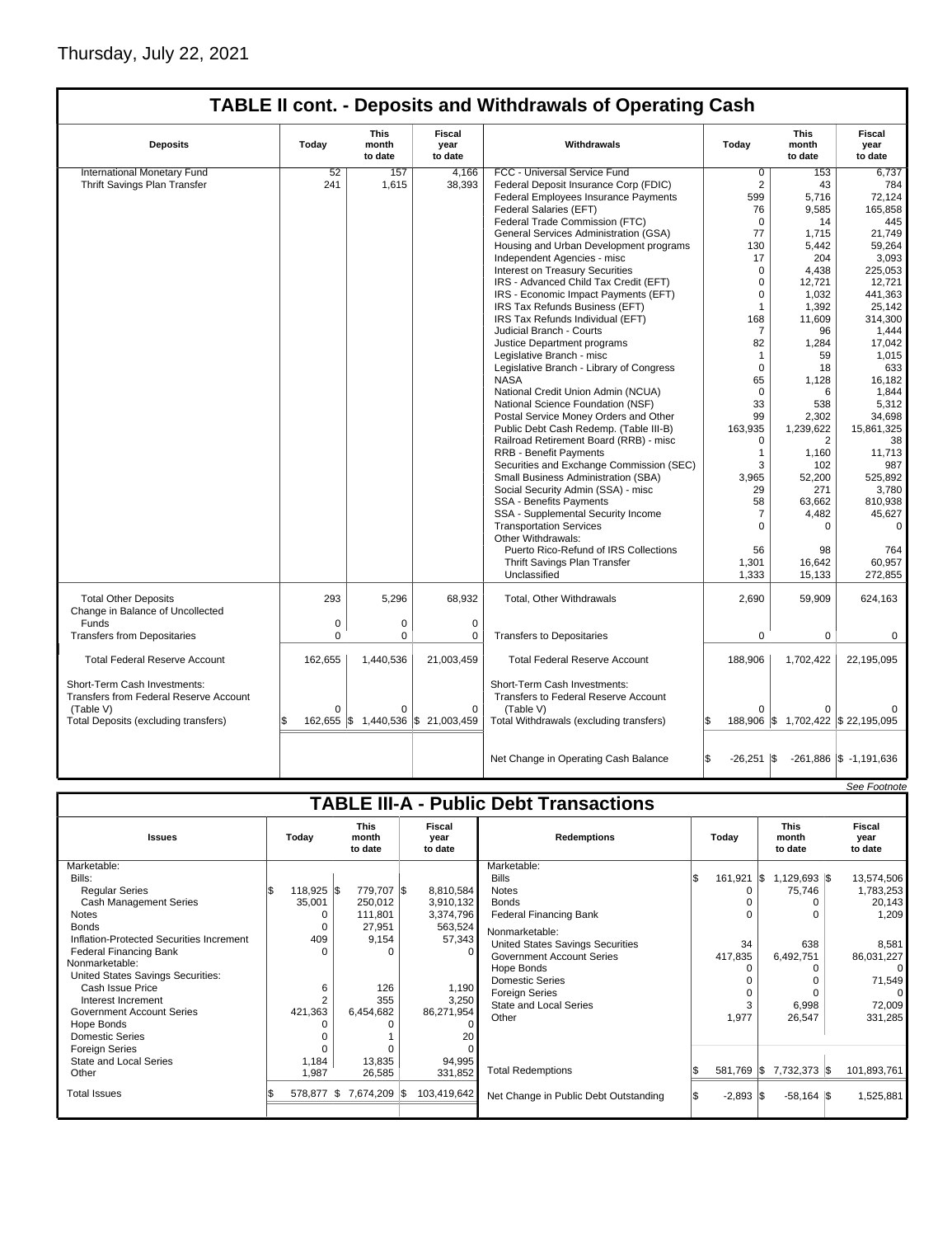## Thursday, July 22, 2021

| <b>TABLE II cont. - Deposits and Withdrawals of Operating Cash</b>                                                                 |                     |                                                                      |                                                                 |                                                                                                                                     |                             |                                                |                                  |  |  |  |  |       |                                 |                           |
|------------------------------------------------------------------------------------------------------------------------------------|---------------------|----------------------------------------------------------------------|-----------------------------------------------------------------|-------------------------------------------------------------------------------------------------------------------------------------|-----------------------------|------------------------------------------------|----------------------------------|--|--|--|--|-------|---------------------------------|---------------------------|
| <b>Deposits</b>                                                                                                                    | Today               | Fiscal<br>This<br>Withdrawals<br>month<br>year<br>to date<br>to date |                                                                 |                                                                                                                                     |                             |                                                |                                  |  |  |  |  | Today | <b>This</b><br>month<br>to date | Fiscal<br>year<br>to date |
| International Monetary Fund                                                                                                        | 52                  | 157                                                                  | 4.166                                                           | FCC - Universal Service Fund                                                                                                        | $\Omega$                    | 153                                            | 6,737                            |  |  |  |  |       |                                 |                           |
| Thrift Savings Plan Transfer                                                                                                       | 241                 | 1,615                                                                | 38,393                                                          | Federal Deposit Insurance Corp (FDIC)                                                                                               | $\overline{2}$              | 43                                             | 784                              |  |  |  |  |       |                                 |                           |
|                                                                                                                                    |                     |                                                                      |                                                                 | Federal Employees Insurance Payments                                                                                                | 599                         | 5,716                                          | 72,124                           |  |  |  |  |       |                                 |                           |
|                                                                                                                                    |                     |                                                                      |                                                                 | Federal Salaries (EFT)                                                                                                              | 76                          | 9,585                                          | 165.858                          |  |  |  |  |       |                                 |                           |
|                                                                                                                                    |                     |                                                                      |                                                                 | Federal Trade Commission (FTC)                                                                                                      | $\mathbf 0$                 | 14                                             | 445                              |  |  |  |  |       |                                 |                           |
|                                                                                                                                    |                     |                                                                      |                                                                 | General Services Administration (GSA)                                                                                               | 77                          | 1,715                                          | 21,749                           |  |  |  |  |       |                                 |                           |
|                                                                                                                                    |                     |                                                                      |                                                                 | Housing and Urban Development programs                                                                                              | 130                         | 5,442                                          | 59,264                           |  |  |  |  |       |                                 |                           |
|                                                                                                                                    |                     |                                                                      |                                                                 | Independent Agencies - misc                                                                                                         | 17                          | 204                                            | 3,093                            |  |  |  |  |       |                                 |                           |
|                                                                                                                                    |                     |                                                                      |                                                                 | Interest on Treasury Securities                                                                                                     | $\Omega$                    | 4,438                                          | 225,053                          |  |  |  |  |       |                                 |                           |
|                                                                                                                                    |                     |                                                                      |                                                                 | IRS - Advanced Child Tax Credit (EFT)                                                                                               | $\Omega$                    | 12,721                                         | 12,721                           |  |  |  |  |       |                                 |                           |
|                                                                                                                                    |                     |                                                                      |                                                                 | IRS - Economic Impact Payments (EFT)                                                                                                | 0                           | 1,032                                          | 441,363                          |  |  |  |  |       |                                 |                           |
|                                                                                                                                    |                     |                                                                      |                                                                 |                                                                                                                                     | 1                           |                                                |                                  |  |  |  |  |       |                                 |                           |
|                                                                                                                                    |                     |                                                                      |                                                                 | IRS Tax Refunds Business (EFT)                                                                                                      |                             | 1,392                                          | 25,142                           |  |  |  |  |       |                                 |                           |
|                                                                                                                                    |                     |                                                                      |                                                                 | IRS Tax Refunds Individual (EFT)                                                                                                    | 168                         | 11,609                                         | 314,300                          |  |  |  |  |       |                                 |                           |
|                                                                                                                                    |                     |                                                                      |                                                                 | Judicial Branch - Courts                                                                                                            | 7                           | 96                                             | 1.444                            |  |  |  |  |       |                                 |                           |
|                                                                                                                                    |                     |                                                                      |                                                                 | Justice Department programs                                                                                                         | 82                          | 1,284                                          | 17,042                           |  |  |  |  |       |                                 |                           |
|                                                                                                                                    |                     |                                                                      |                                                                 | Legislative Branch - misc                                                                                                           | $\mathbf{1}$                | 59                                             | 1,015                            |  |  |  |  |       |                                 |                           |
|                                                                                                                                    |                     |                                                                      |                                                                 | Legislative Branch - Library of Congress                                                                                            | $\Omega$                    | 18                                             | 633                              |  |  |  |  |       |                                 |                           |
|                                                                                                                                    |                     |                                                                      |                                                                 | <b>NASA</b>                                                                                                                         | 65                          | 1,128                                          | 16,182                           |  |  |  |  |       |                                 |                           |
|                                                                                                                                    |                     |                                                                      |                                                                 | National Credit Union Admin (NCUA)                                                                                                  | $\Omega$                    | 6                                              | 1,844                            |  |  |  |  |       |                                 |                           |
|                                                                                                                                    |                     |                                                                      |                                                                 | National Science Foundation (NSF)                                                                                                   | 33                          | 538                                            | 5,312                            |  |  |  |  |       |                                 |                           |
|                                                                                                                                    |                     |                                                                      |                                                                 | Postal Service Money Orders and Other                                                                                               | 99                          | 2,302                                          | 34,698                           |  |  |  |  |       |                                 |                           |
|                                                                                                                                    |                     |                                                                      |                                                                 | Public Debt Cash Redemp. (Table III-B)                                                                                              | 163,935                     | 1,239,622                                      | 15,861,325                       |  |  |  |  |       |                                 |                           |
|                                                                                                                                    |                     |                                                                      |                                                                 | Railroad Retirement Board (RRB) - misc                                                                                              | $\Omega$                    | 2                                              | 38                               |  |  |  |  |       |                                 |                           |
|                                                                                                                                    |                     |                                                                      |                                                                 | <b>RRB - Benefit Payments</b>                                                                                                       | $\mathbf{1}$                | 1,160                                          | 11,713                           |  |  |  |  |       |                                 |                           |
|                                                                                                                                    |                     |                                                                      |                                                                 | Securities and Exchange Commission (SEC)                                                                                            | 3                           | 102                                            | 987                              |  |  |  |  |       |                                 |                           |
|                                                                                                                                    |                     |                                                                      |                                                                 | Small Business Administration (SBA)                                                                                                 | 3,965                       | 52,200                                         | 525,892                          |  |  |  |  |       |                                 |                           |
|                                                                                                                                    |                     |                                                                      |                                                                 | Social Security Admin (SSA) - misc                                                                                                  | 29                          | 271                                            | 3,780                            |  |  |  |  |       |                                 |                           |
|                                                                                                                                    |                     |                                                                      |                                                                 | SSA - Benefits Payments                                                                                                             | 58                          | 63,662                                         | 810,938                          |  |  |  |  |       |                                 |                           |
|                                                                                                                                    |                     |                                                                      |                                                                 | SSA - Supplemental Security Income                                                                                                  | 7                           | 4,482                                          | 45,627                           |  |  |  |  |       |                                 |                           |
|                                                                                                                                    |                     |                                                                      |                                                                 | <b>Transportation Services</b><br>Other Withdrawals:                                                                                | $\mathbf 0$                 | 0                                              | $\mathbf 0$                      |  |  |  |  |       |                                 |                           |
|                                                                                                                                    |                     |                                                                      |                                                                 | Puerto Rico-Refund of IRS Collections                                                                                               | 56                          | 98                                             | 764                              |  |  |  |  |       |                                 |                           |
|                                                                                                                                    |                     |                                                                      |                                                                 | Thrift Savings Plan Transfer                                                                                                        | 1,301                       | 16,642                                         | 60,957                           |  |  |  |  |       |                                 |                           |
|                                                                                                                                    |                     |                                                                      |                                                                 | Unclassified                                                                                                                        | 1,333                       | 15,133                                         | 272,855                          |  |  |  |  |       |                                 |                           |
| <b>Total Other Deposits</b><br>Change in Balance of Uncollected                                                                    | 293                 | 5,296                                                                | 68,932                                                          | Total, Other Withdrawals                                                                                                            | 2,690                       | 59,909                                         | 624,163                          |  |  |  |  |       |                                 |                           |
| Funds                                                                                                                              | 0                   | $\mathbf 0$                                                          | $\mathbf 0$                                                     |                                                                                                                                     |                             |                                                |                                  |  |  |  |  |       |                                 |                           |
| <b>Transfers from Depositaries</b>                                                                                                 | 0                   | $\mathbf 0$                                                          | 0                                                               | <b>Transfers to Depositaries</b>                                                                                                    | $\mathbf 0$                 | 0                                              | $\mathbf 0$                      |  |  |  |  |       |                                 |                           |
| <b>Total Federal Reserve Account</b>                                                                                               | 162,655             | 1,440,536                                                            | 21,003,459                                                      | <b>Total Federal Reserve Account</b>                                                                                                | 188,906                     | 1,702,422                                      | 22,195,095                       |  |  |  |  |       |                                 |                           |
| Short-Term Cash Investments:<br><b>Transfers from Federal Reserve Account</b><br>(Table V)<br>Total Deposits (excluding transfers) | $\Omega$<br>162,655 | $\Omega$                                                             | $\mathbf 0$<br>$\frac{1}{9}$ 1,440,536 $\frac{1}{9}$ 21,003,459 | Short-Term Cash Investments:<br><b>Transfers to Federal Reserve Account</b><br>(Table V)<br>Total Withdrawals (excluding transfers) | $\Omega$<br>l\$             | $\Omega$<br>188,906 \$ 1,702,422 \$ 22,195,095 |                                  |  |  |  |  |       |                                 |                           |
|                                                                                                                                    |                     |                                                                      |                                                                 | Net Change in Operating Cash Balance                                                                                                | 1\$<br>$-26,251$ $\sqrt{$}$ |                                                | $-261,886$ $\sqrt{3}$ -1,191,636 |  |  |  |  |       |                                 |                           |

|                                                                                                    |  |                        |                                 |                                 |                           |                                            |                                                                                                                  |                    |                           |       |                               |                                 | See Footnote                      |                           |
|----------------------------------------------------------------------------------------------------|--|------------------------|---------------------------------|---------------------------------|---------------------------|--------------------------------------------|------------------------------------------------------------------------------------------------------------------|--------------------|---------------------------|-------|-------------------------------|---------------------------------|-----------------------------------|---------------------------|
| <b>TABLE III-A - Public Debt Transactions</b>                                                      |  |                        |                                 |                                 |                           |                                            |                                                                                                                  |                    |                           |       |                               |                                 |                                   |                           |
| <b>Issues</b>                                                                                      |  | Today                  | <b>This</b><br>month<br>to date |                                 | Fiscal<br>year<br>to date |                                            |                                                                                                                  | <b>Redemptions</b> |                           | Today |                               | <b>This</b><br>month<br>to date |                                   | Fiscal<br>year<br>to date |
| Marketable:<br>Bills:<br><b>Reqular Series</b><br><b>Cash Management Series</b>                    |  | $118,925$ \$<br>35,001 |                                 | 779,707 \$<br>250,012           |                           | 8,810,584<br>3,910,132                     | Marketable:<br><b>Bills</b><br><b>Notes</b><br><b>Bonds</b>                                                      | l\$                | 161,921 \$<br>$\Omega$    |       | $1,129,693$ \$<br>75,746<br>0 |                                 | 13,574,506<br>1,783,253<br>20,143 |                           |
| Notes<br><b>Bonds</b><br>Inflation-Protected Securities Increment<br><b>Federal Financing Bank</b> |  | 409                    |                                 | 111,801<br>27,951<br>9,154<br>n |                           | 3,374,796<br>563,524<br>57,343<br>$\Omega$ | <b>Federal Financing Bank</b><br>Nonmarketable:<br>United States Savings Securities<br>Government Account Series |                    | $\Omega$<br>34<br>417,835 |       | O<br>638<br>6,492,751         |                                 | 1,209<br>8,581<br>86,031,227      |                           |
| Nonmarketable:<br>United States Savings Securities:<br>Cash Issue Price<br>Interest Increment      |  | 6                      |                                 | 126<br>355                      |                           | 1,190<br>3,250                             | Hope Bonds<br>Domestic Series<br>Foreign Series<br><b>State and Local Series</b>                                 |                    | 0<br>$\Omega$<br>3        |       | O<br>6,998                    |                                 | $\Omega$<br>71,549<br>72,009      |                           |
| <b>Government Account Series</b><br>Hope Bonds<br><b>Domestic Series</b><br><b>Foreign Series</b>  |  | 421,363                |                                 | 6,454,682                       |                           | 86,271,954<br>$\Omega$<br>20               | Other                                                                                                            |                    | 1,977                     |       | 26,547                        |                                 | 331,285                           |                           |
| State and Local Series<br>Other                                                                    |  | 1,184<br>1,987         |                                 | 13,835<br>26,585                |                           | 94,995<br>331,852                          | <b>Total Redemptions</b>                                                                                         |                    | 581,769 \$                |       | 7,732,373 \$                  |                                 | 101,893,761                       |                           |
| <b>Total Issues</b>                                                                                |  | 578.877 \$             |                                 | 7,674,209 \$                    |                           | 103.419.642                                | Net Change in Public Debt Outstanding                                                                            |                    | $-2,893$ \$               |       | $-58,164$ \\$                 |                                 | 1,525,881                         |                           |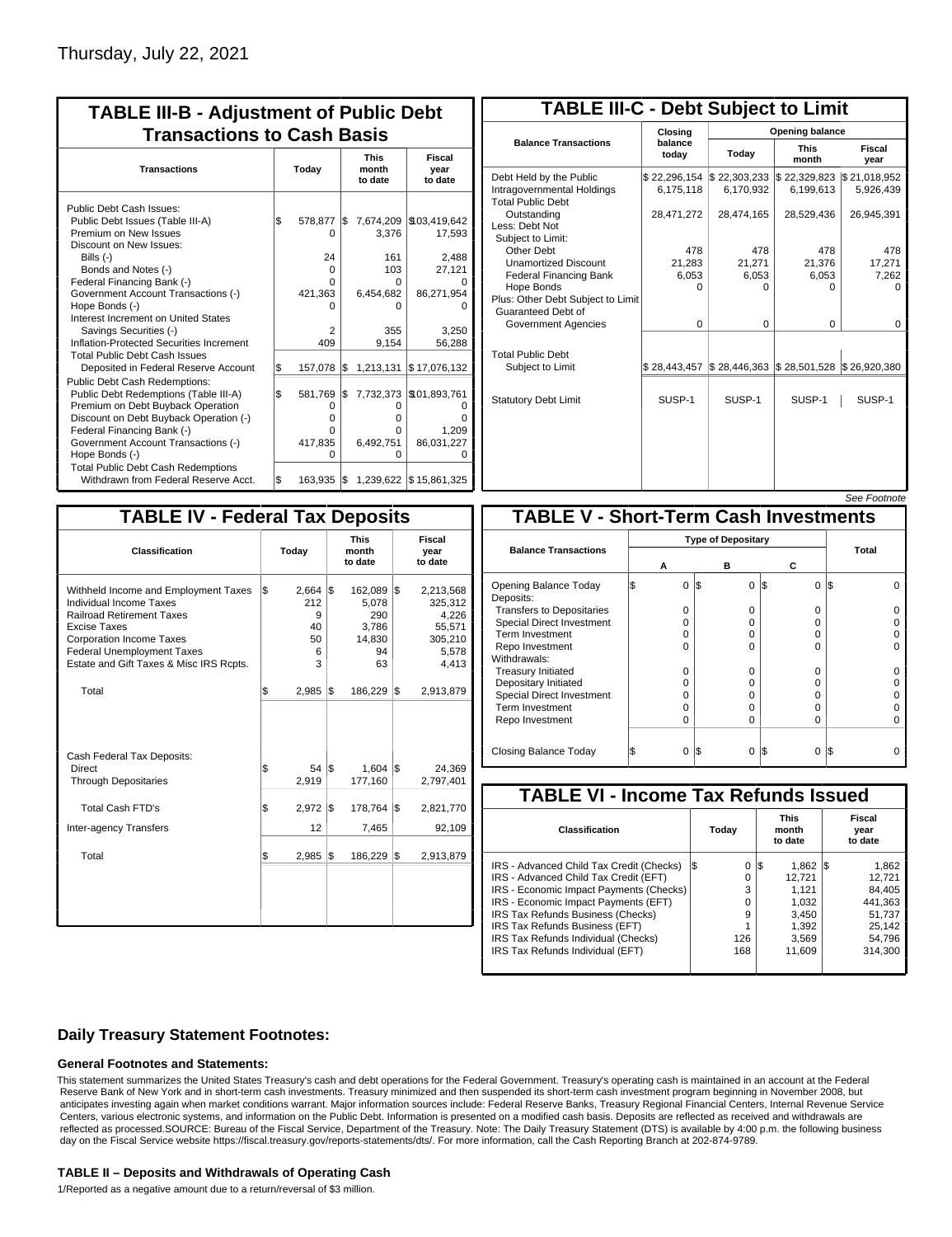| <b>TABLE III-B - Adjustment of Public Debt</b><br><b>Transactions to Cash Basis</b>                                                                                                                                                                 |       |                                                      |          |                                            |                                                     |                                 |                           |  |  |
|-----------------------------------------------------------------------------------------------------------------------------------------------------------------------------------------------------------------------------------------------------|-------|------------------------------------------------------|----------|--------------------------------------------|-----------------------------------------------------|---------------------------------|---------------------------|--|--|
| <b>Transactions</b>                                                                                                                                                                                                                                 | Today |                                                      |          |                                            |                                                     | <b>This</b><br>month<br>to date | Fiscal<br>year<br>to date |  |  |
| Public Debt Cash Issues:<br>Public Debt Issues (Table III-A)<br>Premium on New Issues<br>Discount on New Issues:                                                                                                                                    | \$    | 578,877<br>O                                         | l\$      | 7,674,209<br>3.376                         | \$103,419,642<br>17,593                             |                                 |                           |  |  |
| Bills (-)<br>Bonds and Notes (-)<br>Federal Financing Bank (-)<br>Government Account Transactions (-)                                                                                                                                               |       | 24<br>0<br>U<br>421,363                              |          | 161<br>103<br>O<br>6,454,682               | 2,488<br>27,121<br>86,271,954                       |                                 |                           |  |  |
| Hope Bonds (-)<br>Interest Increment on United States<br>Savings Securities (-)<br>Inflation-Protected Securities Increment                                                                                                                         |       | 2<br>409                                             |          | o<br>355<br>9,154                          | 3,250<br>56,288                                     |                                 |                           |  |  |
| <b>Total Public Debt Cash Issues</b><br>Deposited in Federal Reserve Account                                                                                                                                                                        | S.    | 157,078                                              | 1\$      | 1,213,131                                  | \$17,076,132                                        |                                 |                           |  |  |
| <b>Public Debt Cash Redemptions:</b><br>Public Debt Redemptions (Table III-A)<br>Premium on Debt Buyback Operation<br>Discount on Debt Buyback Operation (-)<br>Federal Financing Bank (-)<br>Government Account Transactions (-)<br>Hope Bonds (-) | l\$   | 581,769<br>$\Omega$<br>$\Omega$<br>U<br>417,835<br>O | l\$      | 7,732,373<br>0<br>o<br>O<br>6,492,751<br>0 | \$101,893,761<br>0<br>n<br>1,209<br>86,031,227<br>O |                                 |                           |  |  |
| <b>Total Public Debt Cash Redemptions</b><br>Withdrawn from Federal Reserve Acct.                                                                                                                                                                   | l\$   | 163,935                                              | <b>S</b> |                                            | 1,239,622 \$15,861,325                              |                                 |                           |  |  |

| <b>TABLE III-C - Debt Subject to Limit</b>                                        |                                          |                                                                            |                           |                           |  |  |  |  |  |
|-----------------------------------------------------------------------------------|------------------------------------------|----------------------------------------------------------------------------|---------------------------|---------------------------|--|--|--|--|--|
|                                                                                   | Closing                                  | <b>Opening balance</b>                                                     |                           |                           |  |  |  |  |  |
| <b>Balance Transactions</b>                                                       | balance<br>todav                         | Today                                                                      | <b>This</b><br>month      | Fiscal<br>year            |  |  |  |  |  |
| Debt Held by the Public<br>Intragovernmental Holdings<br><b>Total Public Debt</b> | \$22,296,154   \$22,303,233<br>6.175.118 | 6.170.932                                                                  | \$22,329,823<br>6.199.613 | \$21,018,952<br>5,926,439 |  |  |  |  |  |
| Outstanding<br>Less: Debt Not<br>Subject to Limit:                                | 28,471,272                               | 28,474,165                                                                 | 28,529,436                | 26,945,391                |  |  |  |  |  |
| Other Debt                                                                        | 478                                      | 478                                                                        | 478                       | 478                       |  |  |  |  |  |
| <b>Unamortized Discount</b>                                                       | 21,283                                   | 21,271                                                                     | 21,376                    | 17,271                    |  |  |  |  |  |
| <b>Federal Financing Bank</b>                                                     | 6,053                                    | 6,053                                                                      | 6,053                     | 7,262                     |  |  |  |  |  |
| Hope Bonds<br>Plus: Other Debt Subject to Limit<br>Guaranteed Debt of             | O                                        | O                                                                          | 0                         | o                         |  |  |  |  |  |
| Government Agencies                                                               | $\Omega$                                 | $\Omega$                                                                   | $\Omega$                  | 0                         |  |  |  |  |  |
| <b>Total Public Debt</b><br>Subject to Limit                                      | \$28,443,457                             | $\frac{1}{2}$ 28,446,363 $\frac{1}{2}$ 28,501,528 $\frac{1}{2}$ 26,920,380 |                           |                           |  |  |  |  |  |
| <b>Statutory Debt Limit</b>                                                       | SUSP-1                                   | SUSP-1                                                                     | SUSP-1                    | SUSP-1                    |  |  |  |  |  |
|                                                                                   |                                          |                                                                            |                           |                           |  |  |  |  |  |

## See Footnote

| <b>TABLE IV - Federal Tax Deposits</b>                                                                                                                                                                                                        |     |                                         |     |                                                        |     |                                                                      |  |  |
|-----------------------------------------------------------------------------------------------------------------------------------------------------------------------------------------------------------------------------------------------|-----|-----------------------------------------|-----|--------------------------------------------------------|-----|----------------------------------------------------------------------|--|--|
| <b>Classification</b>                                                                                                                                                                                                                         |     | Today                                   |     | <b>This</b><br>month<br>to date                        |     | Fiscal<br>year<br>to date                                            |  |  |
| Withheld Income and Employment Taxes<br>Individual Income Taxes<br><b>Railroad Retirement Taxes</b><br><b>Excise Taxes</b><br><b>Corporation Income Taxes</b><br><b>Federal Unemployment Taxes</b><br>Estate and Gift Taxes & Misc IRS Rcpts. | l\$ | 2,664<br>212<br>9<br>40<br>50<br>6<br>3 | l\$ | 162,089<br>5,078<br>290<br>3,786<br>14,830<br>94<br>63 | l\$ | 2,213,568<br>325,312<br>4,226<br>55,571<br>305,210<br>5,578<br>4,413 |  |  |
| Total                                                                                                                                                                                                                                         | \$  | 2,985                                   | I\$ | 186,229                                                | l\$ | 2,913,879                                                            |  |  |
| Cash Federal Tax Deposits:<br><b>Direct</b><br><b>Through Depositaries</b>                                                                                                                                                                    | \$  | 54<br>2,919                             | l\$ | $1,604$ \$<br>177,160                                  |     | 24,369<br>2,797,401                                                  |  |  |
| Total Cash FTD's                                                                                                                                                                                                                              | \$  | 2,972                                   | 1\$ | 178,764                                                | 1\$ | 2,821,770                                                            |  |  |
| <b>Inter-agency Transfers</b>                                                                                                                                                                                                                 |     | 12                                      |     | 7,465                                                  |     | 92,109                                                               |  |  |
| Total                                                                                                                                                                                                                                         | l\$ | 2,985                                   | 1\$ | 186,229                                                | 1\$ | 2,913,879                                                            |  |  |
|                                                                                                                                                                                                                                               |     |                                         |     |                                                        |     |                                                                      |  |  |

| <b>TABLE V - Short-Term Cash Investments</b> |   |                           |          |                 |       |  |  |  |  |  |
|----------------------------------------------|---|---------------------------|----------|-----------------|-------|--|--|--|--|--|
|                                              |   | <b>Type of Depositary</b> |          |                 |       |  |  |  |  |  |
| <b>Balance Transactions</b>                  | А |                           | в        | С               | Total |  |  |  |  |  |
| Opening Balance Today<br>Deposits:           | 0 | 1\$                       | $\Omega$ | 1\$<br>$\Omega$ | I\$   |  |  |  |  |  |
| <b>Transfers to Depositaries</b>             | O |                           | 0        | 0               |       |  |  |  |  |  |
| <b>Special Direct Investment</b>             | O |                           | O        | 0               |       |  |  |  |  |  |
| <b>Term Investment</b>                       | Ω |                           | O        | 0               |       |  |  |  |  |  |
| Repo Investment                              | 0 |                           | 0        | $\Omega$        |       |  |  |  |  |  |
| Withdrawals:                                 |   |                           |          |                 |       |  |  |  |  |  |
| <b>Treasury Initiated</b>                    | O |                           | 0        | 0               |       |  |  |  |  |  |
| Depositary Initiated                         | ი |                           | O        | 0               |       |  |  |  |  |  |
| <b>Special Direct Investment</b>             | Ω |                           | O        | 0               |       |  |  |  |  |  |
| <b>Term Investment</b>                       | Ω |                           | O        | $\Omega$        |       |  |  |  |  |  |
| Repo Investment                              | O |                           | O        | 0               |       |  |  |  |  |  |
|                                              |   |                           |          |                 |       |  |  |  |  |  |
| Closing Balance Today                        | 0 | l\$                       | $\Omega$ | I\$<br>$\Omega$ | 1\$   |  |  |  |  |  |

| <b>TABLE VI - Income Tax Refunds Issued</b> |          |                                 |                           |  |  |  |  |  |  |  |
|---------------------------------------------|----------|---------------------------------|---------------------------|--|--|--|--|--|--|--|
| Classification                              | Today    | <b>This</b><br>month<br>to date | Fiscal<br>year<br>to date |  |  |  |  |  |  |  |
| IRS - Advanced Child Tax Credit (Checks)    | 0<br>I\$ | $1,862$ \\$<br>I\$              | 1,862                     |  |  |  |  |  |  |  |
| IRS - Advanced Child Tax Credit (EFT)       | 0        | 12.721                          | 12,721                    |  |  |  |  |  |  |  |
| IRS - Economic Impact Payments (Checks)     | 3        | 1.121                           | 84.405                    |  |  |  |  |  |  |  |
| IRS - Economic Impact Payments (EFT)        | 0        | 1,032                           | 441.363                   |  |  |  |  |  |  |  |
| IRS Tax Refunds Business (Checks)           | 9        | 3.450                           | 51.737                    |  |  |  |  |  |  |  |
| IRS Tax Refunds Business (EFT)              |          | 1,392                           | 25,142                    |  |  |  |  |  |  |  |
| IRS Tax Refunds Individual (Checks)         | 126      | 3,569                           | 54.796                    |  |  |  |  |  |  |  |
| IRS Tax Refunds Individual (EFT)            | 168      | 11.609                          | 314.300                   |  |  |  |  |  |  |  |

## **Daily Treasury Statement Footnotes:**

### **General Footnotes and Statements:**

This statement summarizes the United States Treasury's cash and debt operations for the Federal Government. Treasury's operating cash is maintained in an account at the Federal Reserve Bank of New York and in short-term cash investments. Treasury minimized and then suspended its short-term cash investment program beginning in November 2008, but anticipates investing again when market conditions warrant. Major information sources include: Federal Reserve Banks, Treasury Regional Financial Centers, Internal Revenue Service Centers, various electronic systems, and information on the Public Debt. Information is presented on a modified cash basis. Deposits are reflected as received and withdrawals are reflected as processed.SOURCE: Bureau of the Fiscal Service, Department of the Treasury. Note: The Daily Treasury Statement (DTS) is available by 4:00 p.m. the following business day on the Fiscal Service website https://fiscal.treasury.gov/reports-statements/dts/. For more information, call the Cash Reporting Branch at 202-874-9789.

### **TABLE II – Deposits and Withdrawals of Operating Cash**

1/Reported as a negative amount due to a return/reversal of \$3 million.